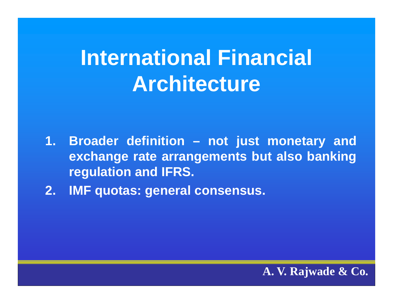# **International Financial Architecture**

- **1. Broader definition – not just monetary and exchange rate arrangements but also banking regulation and IFRS.**
- **2. IMF quotas: general consensus.**

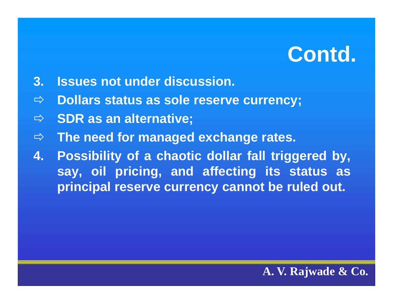- **3. Issues not under discussion.**
- $\Rightarrow$ **Dollars status as sole reserve currency;**
- $\Rightarrow$ **SDR as an alternative;**
- $\Rightarrow$ **The need for managed exchange rates.**
- **4. Possibility of <sup>a</sup> chaotic dollar fall triggered by, say, oil pricing pricing, and affecting its status as principal reserve currency cannot be ruled out.**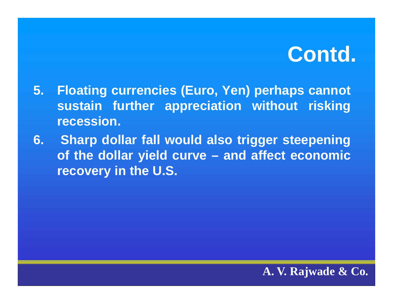- **5. Floating currencies (Euro, Yen) perhaps cannot sustain further appreciation without risking recession.**
- **6. Sharp dollar fall would also trigger steepening of the dollar yield curve – and affect economic recovery in the U.S.**

#### **A. V. Rajwade & Co.**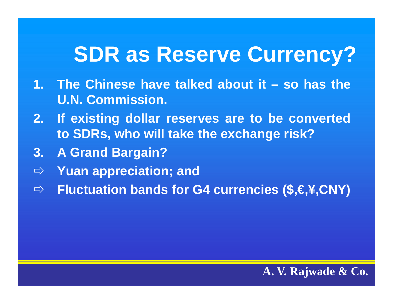### **SDR as Reserve Currency?**

- **1. The Chinese have talked about it – so has theU.N. Commission.**
- **2. If existing dollar reserves are to be converted to SDRs, who will take the exchange risk?**
- **3. A Grand Bargain?**
- $\Rightarrow$ **Yuan appreciation; and**
- $\Rightarrow$ **Fluctuation bands for G4 currencies (\$,€,¥,CNY)**

#### **A. V. Rajwade & Co.**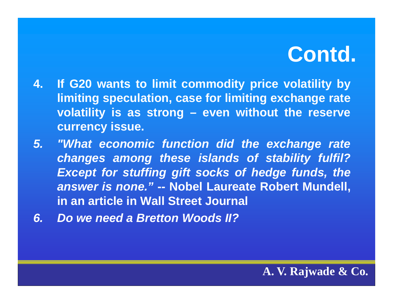- **4. If G20 wants to limit commodity price volatility by li iti m ng specul ti <sup>a</sup> on, case for li iti <sup>m</sup> ng exchange rate volatility is as strong – even without the reserve currency issue.**
- *5. "What economic function did the exchange rate changes among these islands of stability fulfil? Except for stuffing gift socks of hedge funds, the answer is none."* **-- Nobel Laureate Robert Mundell, in an article in Wall Street Journal**
- *6. Do we need a Bretton Woods II?*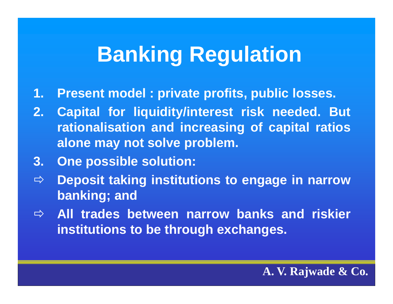# **Banking Regulation**

- **1.Present model : private profits profits, public losses.**
- **2. Capital for liquidity/interest risk needed. But rationalisation and increasin g o f ca pital ratios alone may not solve problem.**
- **3. One possible solution:**
- $\Rightarrow$  **Deposit taking institutions to engage in narrow banking; and**
- $\Rightarrow$  All trades between narrow banks and riskier **institutions to be through exchanges.**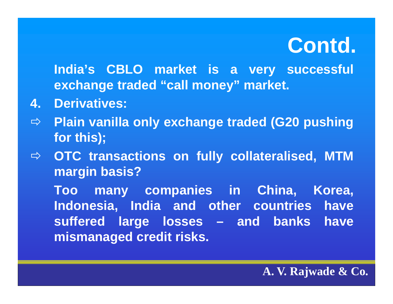**India's CBLO market is <sup>a</sup> very successful exchange traded "call money" market.**

- **4. Derivatives:**
- Ö **Plain vanilla only exchange traded (G20 pushing for this);**
- $\Rightarrow$  OTC transactions on fully collateralised, MTM **margin basis?**

**Too many companies in China, Korea, Indonesia, India and other countries have suffered large losses – and banks have mismanaged credit risks.**

#### **A. V. Rajwade & Co.**